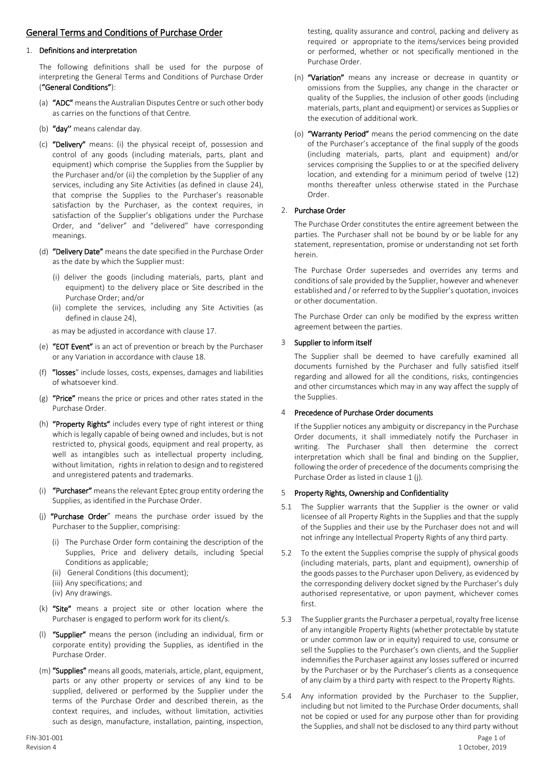# General Terms and Conditions of Purchase Order

#### 1. Definitions and interpretation

The following definitions shall be used for the purpose of interpreting the General Terms and Conditions of Purchase Order ("General Conditions"):

- (a) "ADC" means the Australian Disputes Centre or such other body as carries on the functions of that Centre.
- (b) "day" means calendar day.
- (c) "Delivery" means: (i) the physical receipt of, possession and control of any goods (including materials, parts, plant and equipment) which comprise the Supplies from the Supplier by the Purchaser and/or (ii) the completion by the Supplier of any services, including any Site Activities (as defined in clause 24), that comprise the Supplies to the Purchaser's reasonable satisfaction by the Purchaser, as the context requires, in satisfaction of the Supplier's obligations under the Purchase Order, and "deliver" and "delivered" have corresponding meanings.
- (d) "Delivery Date" means the date specified in the Purchase Order as the date by which the Supplier must:
	- (i) deliver the goods (including materials, parts, plant and equipment) to the delivery place or Site described in the Purchase Order; and/or
	- (ii) complete the services, including any Site Activities (as defined in clause 24),

as may be adjusted in accordance with clause 17.

- (e) "EOT Event" is an act of prevention or breach by the Purchaser or any Variation in accordance with clause 18.
- (f) "losses" include losses, costs, expenses, damages and liabilities of whatsoever kind.
- (g) "Price" means the price or prices and other rates stated in the Purchase Order.
- (h) "Property Rights" includes every type of right interest or thing which is legally capable of being owned and includes, but is not restricted to, physical goods, equipment and real property, as well as intangibles such as intellectual property including, without limitation, rights in relation to design and to registered and unregistered patents and trademarks.
- (i) "Purchaser" means the relevant Eptec group entity ordering the Supplies, as identified in the Purchase Order.
- (j) "Purchase Order" means the purchase order issued by the Purchaser to the Supplier, comprising:
	- (i) The Purchase Order form containing the description of the Supplies, Price and delivery details, including Special Conditions as applicable;
	- (ii) General Conditions (this document);
	- (iii) Any specifications; and
	- (iv) Any drawings.
- (k) "Site" means a project site or other location where the Purchaser is engaged to perform work for its client/s.
- (l) "Supplier" means the person (including an individual, firm or corporate entity) providing the Supplies, as identified in the Purchase Order.
- (m) "Supplies" means all goods, materials, article, plant, equipment, parts or any other property or services of any kind to be supplied, delivered or performed by the Supplier under the terms of the Purchase Order and described therein, as the context requires, and includes, without limitation, activities such as design, manufacture, installation, painting, inspection,

testing, quality assurance and control, packing and delivery as required or appropriate to the items/services being provided or performed, whether or not specifically mentioned in the Purchase Order.

- (n) "Variation" means any increase or decrease in quantity or omissions from the Supplies, any change in the character or quality of the Supplies, the inclusion of other goods (including materials, parts, plant and equipment) or services as Supplies or the execution of additional work.
- (o) "Warranty Period" means the period commencing on the date of the Purchaser's acceptance of the final supply of the goods (including materials, parts, plant and equipment) and/or services comprising the Supplies to or at the specified delivery location, and extending for a minimum period of twelve (12) months thereafter unless otherwise stated in the Purchase Order.

#### 2. Purchase Order

The Purchase Order constitutes the entire agreement between the parties. The Purchaser shall not be bound by or be liable for any statement, representation, promise or understanding not set forth herein.

The Purchase Order supersedes and overrides any terms and conditions of sale provided by the Supplier, however and whenever established and / or referred to by the Supplier's quotation, invoices or other documentation.

The Purchase Order can only be modified by the express written agreement between the parties.

#### 3 Supplier to inform itself

The Supplier shall be deemed to have carefully examined all documents furnished by the Purchaser and fully satisfied itself regarding and allowed for all the conditions, risks, contingencies and other circumstances which may in any way affect the supply of the Supplies.

#### 4 Precedence of Purchase Order documents

If the Supplier notices any ambiguity or discrepancy in the Purchase Order documents, it shall immediately notify the Purchaser in writing. The Purchaser shall then determine the correct interpretation which shall be final and binding on the Supplier, following the order of precedence of the documents comprising the Purchase Order as listed in clause 1 (j).

#### 5 Property Rights, Ownership and Confidentiality

- 5.1 The Supplier warrants that the Supplier is the owner or valid licensee of all Property Rights in the Supplies and that the supply of the Supplies and their use by the Purchaser does not and will not infringe any Intellectual Property Rights of any third party.
- 5.2 To the extent the Supplies comprise the supply of physical goods (including materials, parts, plant and equipment), ownership of the goods passes to the Purchaser upon Delivery, as evidenced by the corresponding delivery docket signed by the Purchaser's duly authorised representative, or upon payment, whichever comes first.
- 5.3 The Supplier grants the Purchaser a perpetual, royalty free license of any intangible Property Rights (whether protectable by statute or under common law or in equity) required to use, consume or sell the Supplies to the Purchaser's own clients, and the Supplier indemnifies the Purchaser against any losses suffered or incurred by the Purchaser or by the Purchaser's clients as a consequence of any claim by a third party with respect to the Property Rights.
- 5.4 Any information provided by the Purchaser to the Supplier, including but not limited to the Purchase Order documents, shall not be copied or used for any purpose other than for providing the Supplies, and shall not be disclosed to any third party without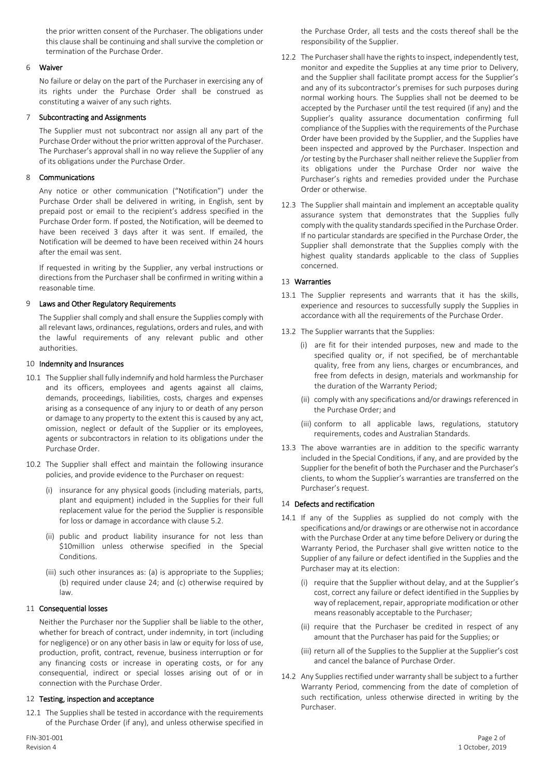the prior written consent of the Purchaser. The obligations under this clause shall be continuing and shall survive the completion or termination of the Purchase Order.

#### 6 Waiver

No failure or delay on the part of the Purchaser in exercising any of its rights under the Purchase Order shall be construed as constituting a waiver of any such rights.

#### 7 Subcontracting and Assignments

The Supplier must not subcontract nor assign all any part of the Purchase Order without the prior written approval of the Purchaser. The Purchaser's approval shall in no way relieve the Supplier of any of its obligations under the Purchase Order.

#### 8 Communications

Any notice or other communication ("Notification") under the Purchase Order shall be delivered in writing, in English, sent by prepaid post or email to the recipient's address specified in the Purchase Order form. If posted, the Notification, will be deemed to have been received 3 days after it was sent. If emailed, the Notification will be deemed to have been received within 24 hours after the email was sent.

If requested in writing by the Supplier, any verbal instructions or directions from the Purchaser shall be confirmed in writing within a reasonable time.

# 9 Laws and Other Regulatory Requirements

The Supplier shall comply and shall ensure the Supplies comply with all relevant laws, ordinances, regulations, orders and rules, and with the lawful requirements of any relevant public and other authorities.

#### 10 Indemnity and Insurances

- 10.1 The Supplier shall fully indemnify and hold harmless the Purchaser and its officers, employees and agents against all claims, demands, proceedings, liabilities, costs, charges and expenses arising as a consequence of any injury to or death of any person or damage to any property to the extent this is caused by any act, omission, neglect or default of the Supplier or its employees, agents or subcontractors in relation to its obligations under the Purchase Order.
- 10.2 The Supplier shall effect and maintain the following insurance policies, and provide evidence to the Purchaser on request:
	- (i) insurance for any physical goods (including materials, parts, plant and equipment) included in the Supplies for their full replacement value for the period the Supplier is responsible for loss or damage in accordance with clause 5.2.
	- (ii) public and product liability insurance for not less than \$10million unless otherwise specified in the Special **Conditions**
	- (iii) such other insurances as: (a) is appropriate to the Supplies; (b) required under clause 24; and (c) otherwise required by law.

# 11 Consequential losses

Neither the Purchaser nor the Supplier shall be liable to the other, whether for breach of contract, under indemnity, in tort (including for negligence) or on any other basis in law or equity for loss of use, production, profit, contract, revenue, business interruption or for any financing costs or increase in operating costs, or for any consequential, indirect or special losses arising out of or in connection with the Purchase Order.

#### 12 Testing, inspection and acceptance

12.1 The Supplies shall be tested in accordance with the requirements of the Purchase Order (if any), and unless otherwise specified in

the Purchase Order, all tests and the costs thereof shall be the responsibility of the Supplier.

- 12.2 The Purchaser shall have the rights to inspect, independently test, monitor and expedite the Supplies at any time prior to Delivery, and the Supplier shall facilitate prompt access for the Supplier's and any of its subcontractor's premises for such purposes during normal working hours. The Supplies shall not be deemed to be accepted by the Purchaser until the test required (if any) and the Supplier's quality assurance documentation confirming full compliance of the Supplies with the requirements of the Purchase Order have been provided by the Supplier, and the Supplies have been inspected and approved by the Purchaser. Inspection and /or testing by the Purchaser shall neither relieve the Supplier from its obligations under the Purchase Order nor waive the Purchaser's rights and remedies provided under the Purchase Order or otherwise.
- 12.3 The Supplier shall maintain and implement an acceptable quality assurance system that demonstrates that the Supplies fully comply with the quality standards specified in the Purchase Order. If no particular standards are specified in the Purchase Order, the Supplier shall demonstrate that the Supplies comply with the highest quality standards applicable to the class of Supplies concerned.

#### 13 Warranties

- 13.1 The Supplier represents and warrants that it has the skills, experience and resources to successfully supply the Supplies in accordance with all the requirements of the Purchase Order.
- 13.2 The Supplier warrants that the Supplies:
	- (i) are fit for their intended purposes, new and made to the specified quality or, if not specified, be of merchantable quality, free from any liens, charges or encumbrances, and free from defects in design, materials and workmanship for the duration of the Warranty Period;
	- (ii) comply with any specifications and/or drawings referenced in the Purchase Order; and
	- (iii) conform to all applicable laws, regulations, statutory requirements, codes and Australian Standards.
- 13.3 The above warranties are in addition to the specific warranty included in the Special Conditions, if any, and are provided by the Supplier for the benefit of both the Purchaser and the Purchaser's clients, to whom the Supplier's warranties are transferred on the Purchaser's request.

# 14 Defects and rectification

- 14.1 If any of the Supplies as supplied do not comply with the specifications and/or drawings or are otherwise not in accordance with the Purchase Order at any time before Delivery or during the Warranty Period, the Purchaser shall give written notice to the Supplier of any failure or defect identified in the Supplies and the Purchaser may at its election:
	- (i) require that the Supplier without delay, and at the Supplier's cost, correct any failure or defect identified in the Supplies by way of replacement, repair, appropriate modification or other means reasonably acceptable to the Purchaser;
	- (ii) require that the Purchaser be credited in respect of any amount that the Purchaser has paid for the Supplies; or
	- (iii) return all of the Supplies to the Supplier at the Supplier's cost and cancel the balance of Purchase Order.
- 14.2 Any Supplies rectified under warranty shall be subject to a further Warranty Period, commencing from the date of completion of such rectification, unless otherwise directed in writing by the Purchaser.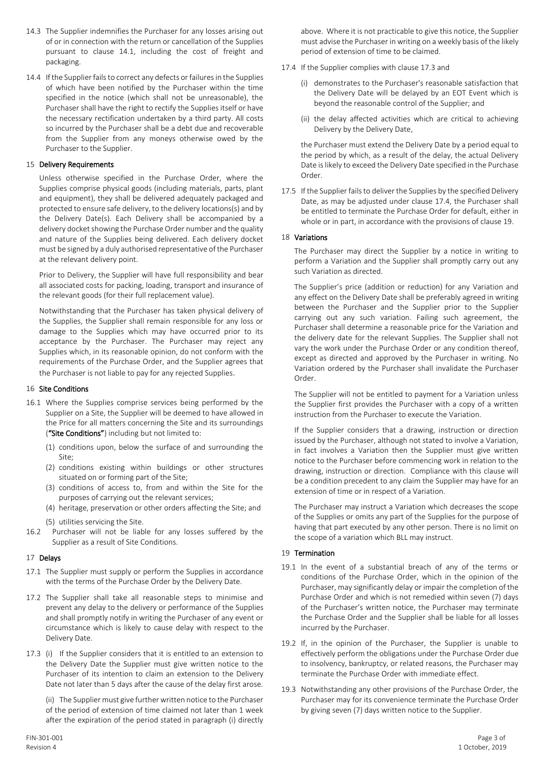- 14.3 The Supplier indemnifies the Purchaser for any losses arising out of or in connection with the return or cancellation of the Supplies pursuant to clause 14.1, including the cost of freight and packaging.
- 14.4 If the Supplier fails to correct any defects or failures in the Supplies of which have been notified by the Purchaser within the time specified in the notice (which shall not be unreasonable), the Purchaser shall have the right to rectify the Supplies itself or have the necessary rectification undertaken by a third party. All costs so incurred by the Purchaser shall be a debt due and recoverable from the Supplier from any moneys otherwise owed by the Purchaser to the Supplier.

# 15 Delivery Requirements

Unless otherwise specified in the Purchase Order, where the Supplies comprise physical goods (including materials, parts, plant and equipment), they shall be delivered adequately packaged and protected to ensure safe delivery, to the delivery locations(s) and by the Delivery Date(s). Each Delivery shall be accompanied by a delivery docket showing the Purchase Order number and the quality and nature of the Supplies being delivered. Each delivery docket must be signed by a duly authorised representative of the Purchaser at the relevant delivery point.

Prior to Delivery, the Supplier will have full responsibility and bear all associated costs for packing, loading, transport and insurance of the relevant goods (for their full replacement value).

Notwithstanding that the Purchaser has taken physical delivery of the Supplies, the Supplier shall remain responsible for any loss or damage to the Supplies which may have occurred prior to its acceptance by the Purchaser. The Purchaser may reject any Supplies which, in its reasonable opinion, do not conform with the requirements of the Purchase Order, and the Supplier agrees that the Purchaser is not liable to pay for any rejected Supplies.

# 16 Site Conditions

- 16.1 Where the Supplies comprise services being performed by the Supplier on a Site, the Supplier will be deemed to have allowed in the Price for all matters concerning the Site and its surroundings ("Site Conditions") including but not limited to:
	- (1) conditions upon, below the surface of and surrounding the Site;
	- (2) conditions existing within buildings or other structures situated on or forming part of the Site;
	- (3) conditions of access to, from and within the Site for the purposes of carrying out the relevant services;
	- (4) heritage, preservation or other orders affecting the Site; and
	- (5) utilities servicing the Site.
- 16.2 Purchaser will not be liable for any losses suffered by the Supplier as a result of Site Conditions.

# 17 Delays

- 17.1 The Supplier must supply or perform the Supplies in accordance with the terms of the Purchase Order by the Delivery Date.
- 17.2 The Supplier shall take all reasonable steps to minimise and prevent any delay to the delivery or performance of the Supplies and shall promptly notify in writing the Purchaser of any event or circumstance which is likely to cause delay with respect to the Delivery Date.
- 17.3 (i) If the Supplier considers that it is entitled to an extension to the Delivery Date the Supplier must give written notice to the Purchaser of its intention to claim an extension to the Delivery Date not later than 5 days after the cause of the delay first arose.

(ii) The Supplier must give further written notice to the Purchaser of the period of extension of time claimed not later than 1 week after the expiration of the period stated in paragraph (i) directly

above. Where it is not practicable to give this notice, the Supplier must advise the Purchaser in writing on a weekly basis of the likely period of extension of time to be claimed.

- 17.4 If the Supplier complies with clause 17.3 and
	- (i) demonstrates to the Purchaser's reasonable satisfaction that the Delivery Date will be delayed by an EOT Event which is beyond the reasonable control of the Supplier; and
	- (ii) the delay affected activities which are critical to achieving Delivery by the Delivery Date,

the Purchaser must extend the Delivery Date by a period equal to the period by which, as a result of the delay, the actual Delivery Date is likely to exceed the Delivery Date specified in the Purchase Order.

17.5 If the Supplier fails to deliver the Supplies by the specified Delivery Date, as may be adjusted under clause 17.4, the Purchaser shall be entitled to terminate the Purchase Order for default, either in whole or in part, in accordance with the provisions of clause 19.

# 18 Variations

The Purchaser may direct the Supplier by a notice in writing to perform a Variation and the Supplier shall promptly carry out any such Variation as directed.

The Supplier's price (addition or reduction) for any Variation and any effect on the Delivery Date shall be preferably agreed in writing between the Purchaser and the Supplier prior to the Supplier carrying out any such variation. Failing such agreement, the Purchaser shall determine a reasonable price for the Variation and the delivery date for the relevant Supplies. The Supplier shall not vary the work under the Purchase Order or any condition thereof, except as directed and approved by the Purchaser in writing. No Variation ordered by the Purchaser shall invalidate the Purchaser Order.

The Supplier will not be entitled to payment for a Variation unless the Supplier first provides the Purchaser with a copy of a written instruction from the Purchaser to execute the Variation.

If the Supplier considers that a drawing, instruction or direction issued by the Purchaser, although not stated to involve a Variation, in fact involves a Variation then the Supplier must give written notice to the Purchaser before commencing work in relation to the drawing, instruction or direction. Compliance with this clause will be a condition precedent to any claim the Supplier may have for an extension of time or in respect of a Variation.

The Purchaser may instruct a Variation which decreases the scope of the Supplies or omits any part of the Supplies for the purpose of having that part executed by any other person. There is no limit on the scope of a variation which BLL may instruct.

# 19 Termination

- 19.1 In the event of a substantial breach of any of the terms or conditions of the Purchase Order, which in the opinion of the Purchaser, may significantly delay or impair the completion of the Purchase Order and which is not remedied within seven (7) days of the Purchaser's written notice, the Purchaser may terminate the Purchase Order and the Supplier shall be liable for all losses incurred by the Purchaser.
- 19.2 If, in the opinion of the Purchaser, the Supplier is unable to effectively perform the obligations under the Purchase Order due to insolvency, bankruptcy, or related reasons, the Purchaser may terminate the Purchase Order with immediate effect.
- 19.3 Notwithstanding any other provisions of the Purchase Order, the Purchaser may for its convenience terminate the Purchase Order by giving seven (7) days written notice to the Supplier.